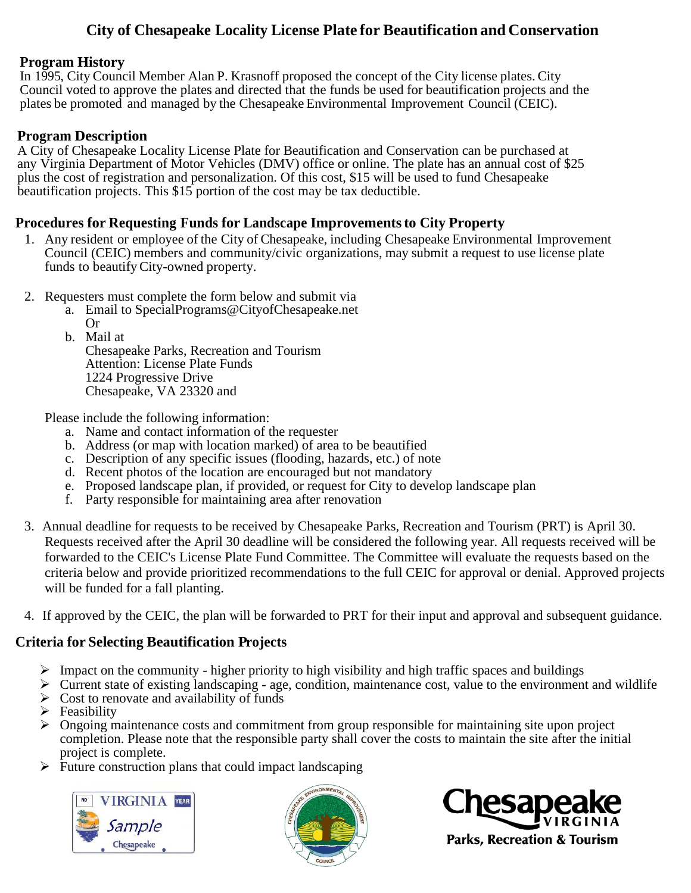## **City of Chesapeake Locality License Plate for Beautification and Conservation**

#### **Program History**

In 1995, City Council Member Alan P. Krasnoff proposed the concept of the City license plates. City Council voted to approve the plates and directed that the funds be used for beautification projects and the plates be promoted and managed by the Chesapeake Environmental Improvement Council (CEIC).

#### **Program Description**

A City of Chesapeake Locality License Plate for Beautification and Conservation can be purchased at any Virginia Department of Motor Vehicles (DMV) office or online. The plate has an annual cost of \$25 plus the cost of registration and personalization. Of this cost, \$15 will be used to fund Chesapeake beautification projects. This \$15 portion of the cost may be tax deductible.

#### **Procedures for Requesting Funds for Landscape Improvementsto City Property**

- 1. Any resident or employee of the City of Chesapeake, including Chesapeake Environmental Improvement Council (CEIC) members and community/civic organizations, may submit a request to use license plate funds to beautifyCity-owned property.
- 2. Requesters must complete the form below and submit via
	- a. Email to [SpecialPrograms@CityofChesapeake.net](mailto:SpecialPrograms@CityofChesapeake.net) 
		- Or

b. Mail at Chesapeake Parks, Recreation and Tourism Attention: License Plate Funds 1224 Progressive Drive Chesapeake, VA 23320 and

Please include the following information:

- a. Name and contact information of the requester
- b. Address (or map with location marked) of area to be beautified
- c. Description of any specific issues (flooding, hazards, etc.) of note
- d. Recent photos of the location are encouraged but not mandatory
- e. Proposed landscape plan, if provided, or request for City to develop landscape plan
- f. Party responsible for maintaining area after renovation
- 3. Annual deadline for requests to be received by Chesapeake Parks, Recreation and Tourism (PRT) is April 30. Requests received after the April 30 deadline will be considered the following year. All requests received will be forwarded to the CEIC's License Plate Fund Committee. The Committee will evaluate the requests based on the criteria below and provide prioritized recommendations to the full CEIC for approval or denial. Approved projects will be funded for a fall planting.
- 4. If approved by the CEIC, the plan will be forwarded to PRT for their input and approval and subsequent guidance.

### **Criteria for Selecting Beautification Projects**

- $\triangleright$  Impact on the community higher priority to high visibility and high traffic spaces and buildings
- $\triangleright$  Current state of existing landscaping age, condition, maintenance cost, value to the environment and wildlife  $\triangleright$  Cost to renovate and availability of funds
- $\triangleright$  Feasibility
- ➢ Ongoing maintenance costs and commitment from group responsible for maintaining site upon project completion. Please note that the responsible party shall cover the costs to maintain the site after the initial project is complete.
- ➢ Future construction plans that could impact landscaping